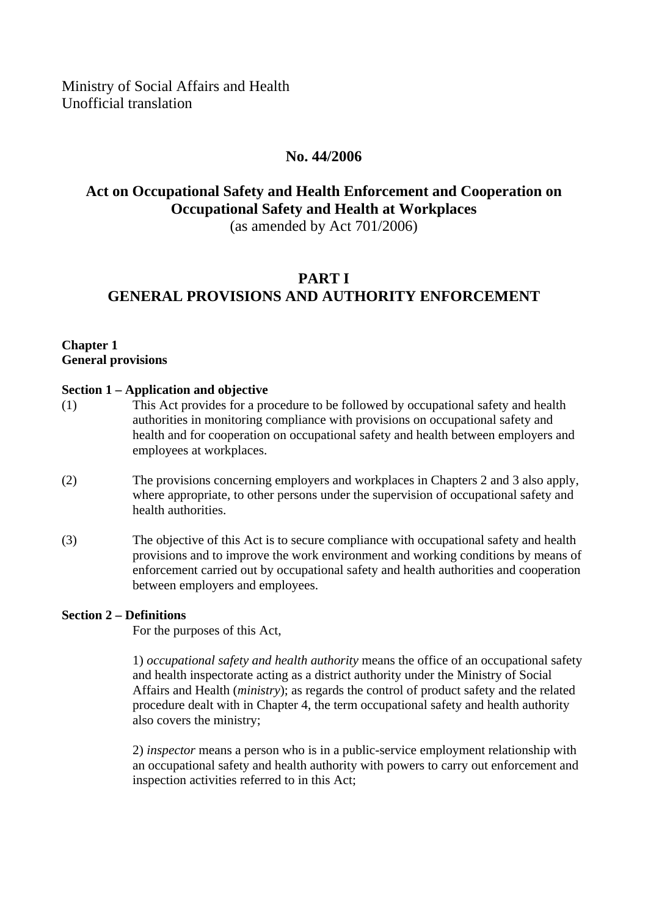Ministry of Social Affairs and Health Unofficial translation

## **No. 44/2006**

# **Act on Occupational Safety and Health Enforcement and Cooperation on Occupational Safety and Health at Workplaces**

(as amended by Act 701/2006)

# **PART I GENERAL PROVISIONS AND AUTHORITY ENFORCEMENT**

### **Chapter 1 General provisions**

### **Section 1 – Application and objective**

- (1) This Act provides for a procedure to be followed by occupational safety and health authorities in monitoring compliance with provisions on occupational safety and health and for cooperation on occupational safety and health between employers and employees at workplaces.
- (2) The provisions concerning employers and workplaces in Chapters 2 and 3 also apply, where appropriate, to other persons under the supervision of occupational safety and health authorities.
- (3) The objective of this Act is to secure compliance with occupational safety and health provisions and to improve the work environment and working conditions by means of enforcement carried out by occupational safety and health authorities and cooperation between employers and employees.

### **Section 2 – Definitions**

For the purposes of this Act,

1) *occupational safety and health authority* means the office of an occupational safety and health inspectorate acting as a district authority under the Ministry of Social Affairs and Health (*ministry*); as regards the control of product safety and the related procedure dealt with in Chapter 4, the term occupational safety and health authority also covers the ministry;

2) *inspector* means a person who is in a public-service employment relationship with an occupational safety and health authority with powers to carry out enforcement and inspection activities referred to in this Act;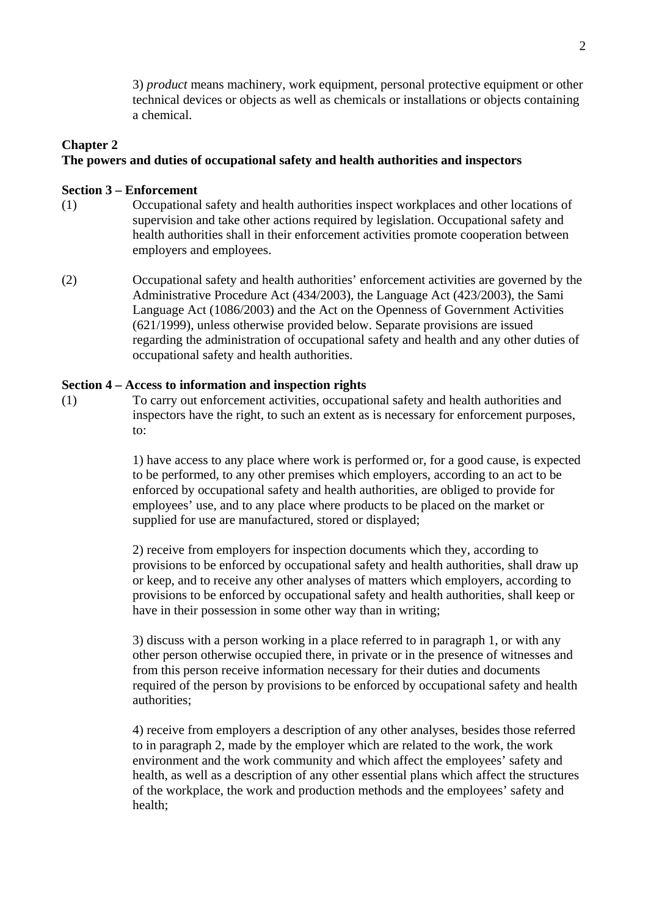3) *product* means machinery, work equipment, personal protective equipment or other technical devices or objects as well as chemicals or installations or objects containing a chemical.

## **Chapter 2**

### **The powers and duties of occupational safety and health authorities and inspectors**

### **Section 3 – Enforcement**

- (1) Occupational safety and health authorities inspect workplaces and other locations of supervision and take other actions required by legislation. Occupational safety and health authorities shall in their enforcement activities promote cooperation between employers and employees.
- (2) Occupational safety and health authorities' enforcement activities are governed by the Administrative Procedure Act (434/2003), the Language Act (423/2003), the Sami Language Act (1086/2003) and the Act on the Openness of Government Activities (621/1999), unless otherwise provided below. Separate provisions are issued regarding the administration of occupational safety and health and any other duties of occupational safety and health authorities.

#### **Section 4 – Access to information and inspection rights**

(1) To carry out enforcement activities, occupational safety and health authorities and inspectors have the right, to such an extent as is necessary for enforcement purposes, to:

> 1) have access to any place where work is performed or, for a good cause, is expected to be performed, to any other premises which employers, according to an act to be enforced by occupational safety and health authorities, are obliged to provide for employees' use, and to any place where products to be placed on the market or supplied for use are manufactured, stored or displayed;

> 2) receive from employers for inspection documents which they, according to provisions to be enforced by occupational safety and health authorities, shall draw up or keep, and to receive any other analyses of matters which employers, according to provisions to be enforced by occupational safety and health authorities, shall keep or have in their possession in some other way than in writing;

> 3) discuss with a person working in a place referred to in paragraph 1, or with any other person otherwise occupied there, in private or in the presence of witnesses and from this person receive information necessary for their duties and documents required of the person by provisions to be enforced by occupational safety and health authorities;

> 4) receive from employers a description of any other analyses, besides those referred to in paragraph 2, made by the employer which are related to the work, the work environment and the work community and which affect the employees' safety and health, as well as a description of any other essential plans which affect the structures of the workplace, the work and production methods and the employees' safety and health;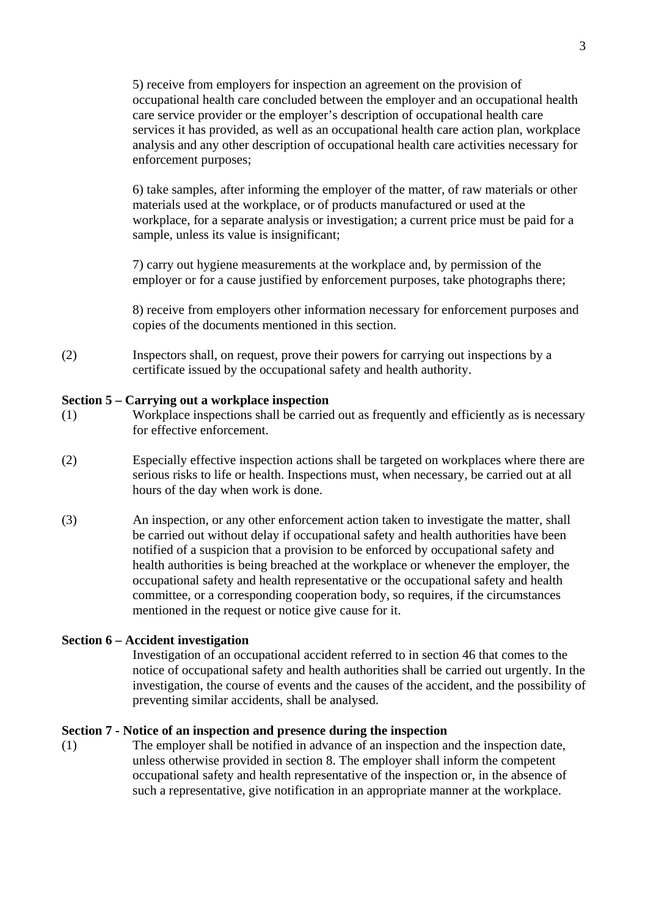5) receive from employers for inspection an agreement on the provision of occupational health care concluded between the employer and an occupational health care service provider or the employer's description of occupational health care services it has provided, as well as an occupational health care action plan, workplace analysis and any other description of occupational health care activities necessary for enforcement purposes;

6) take samples, after informing the employer of the matter, of raw materials or other materials used at the workplace, or of products manufactured or used at the workplace, for a separate analysis or investigation; a current price must be paid for a sample, unless its value is insignificant:

7) carry out hygiene measurements at the workplace and, by permission of the employer or for a cause justified by enforcement purposes, take photographs there;

8) receive from employers other information necessary for enforcement purposes and copies of the documents mentioned in this section.

(2) Inspectors shall, on request, prove their powers for carrying out inspections by a certificate issued by the occupational safety and health authority.

### **Section 5 – Carrying out a workplace inspection**

- (1) Workplace inspections shall be carried out as frequently and efficiently as is necessary for effective enforcement.
- (2) Especially effective inspection actions shall be targeted on workplaces where there are serious risks to life or health. Inspections must, when necessary, be carried out at all hours of the day when work is done.
- (3) An inspection, or any other enforcement action taken to investigate the matter, shall be carried out without delay if occupational safety and health authorities have been notified of a suspicion that a provision to be enforced by occupational safety and health authorities is being breached at the workplace or whenever the employer, the occupational safety and health representative or the occupational safety and health committee, or a corresponding cooperation body, so requires, if the circumstances mentioned in the request or notice give cause for it.

#### **Section 6 – Accident investigation**

Investigation of an occupational accident referred to in section 46 that comes to the notice of occupational safety and health authorities shall be carried out urgently. In the investigation, the course of events and the causes of the accident, and the possibility of preventing similar accidents, shall be analysed.

#### **Section 7 - Notice of an inspection and presence during the inspection**

(1) The employer shall be notified in advance of an inspection and the inspection date, unless otherwise provided in section 8. The employer shall inform the competent occupational safety and health representative of the inspection or, in the absence of such a representative, give notification in an appropriate manner at the workplace.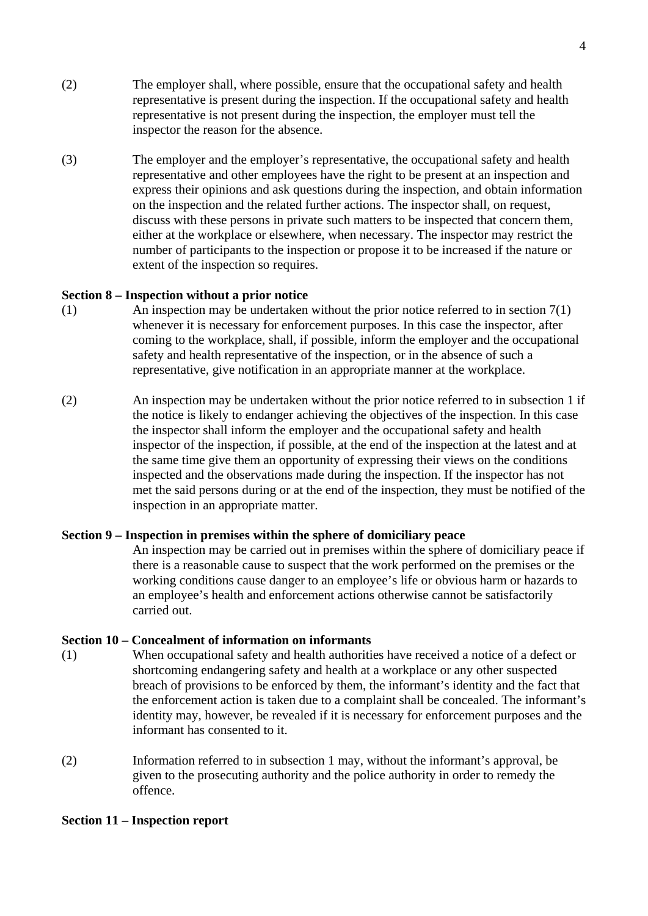- (2) The employer shall, where possible, ensure that the occupational safety and health representative is present during the inspection. If the occupational safety and health representative is not present during the inspection, the employer must tell the inspector the reason for the absence.
- (3) The employer and the employer's representative, the occupational safety and health representative and other employees have the right to be present at an inspection and express their opinions and ask questions during the inspection, and obtain information on the inspection and the related further actions. The inspector shall, on request, discuss with these persons in private such matters to be inspected that concern them, either at the workplace or elsewhere, when necessary. The inspector may restrict the number of participants to the inspection or propose it to be increased if the nature or extent of the inspection so requires.

### **Section 8 – Inspection without a prior notice**

- (1) An inspection may be undertaken without the prior notice referred to in section 7(1) whenever it is necessary for enforcement purposes. In this case the inspector, after coming to the workplace, shall, if possible, inform the employer and the occupational safety and health representative of the inspection, or in the absence of such a representative, give notification in an appropriate manner at the workplace.
- (2) An inspection may be undertaken without the prior notice referred to in subsection 1 if the notice is likely to endanger achieving the objectives of the inspection. In this case the inspector shall inform the employer and the occupational safety and health inspector of the inspection, if possible, at the end of the inspection at the latest and at the same time give them an opportunity of expressing their views on the conditions inspected and the observations made during the inspection. If the inspector has not met the said persons during or at the end of the inspection, they must be notified of the inspection in an appropriate matter.

### **Section 9 – Inspection in premises within the sphere of domiciliary peace**

An inspection may be carried out in premises within the sphere of domiciliary peace if there is a reasonable cause to suspect that the work performed on the premises or the working conditions cause danger to an employee's life or obvious harm or hazards to an employee's health and enforcement actions otherwise cannot be satisfactorily carried out.

### **Section 10 – Concealment of information on informants**

- (1) When occupational safety and health authorities have received a notice of a defect or shortcoming endangering safety and health at a workplace or any other suspected breach of provisions to be enforced by them, the informant's identity and the fact that the enforcement action is taken due to a complaint shall be concealed. The informant's identity may, however, be revealed if it is necessary for enforcement purposes and the informant has consented to it.
- (2) Information referred to in subsection 1 may, without the informant's approval, be given to the prosecuting authority and the police authority in order to remedy the offence.

#### **Section 11 – Inspection report**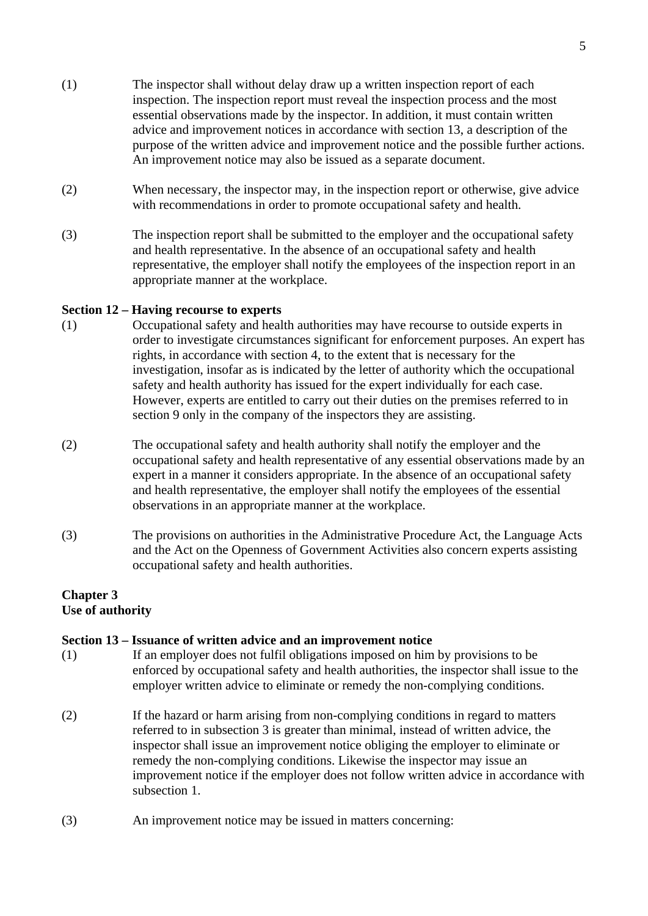- (1) The inspector shall without delay draw up a written inspection report of each inspection. The inspection report must reveal the inspection process and the most essential observations made by the inspector. In addition, it must contain written advice and improvement notices in accordance with section 13, a description of the purpose of the written advice and improvement notice and the possible further actions. An improvement notice may also be issued as a separate document.
- (2) When necessary, the inspector may, in the inspection report or otherwise, give advice with recommendations in order to promote occupational safety and health.
- (3) The inspection report shall be submitted to the employer and the occupational safety and health representative. In the absence of an occupational safety and health representative, the employer shall notify the employees of the inspection report in an appropriate manner at the workplace.

### **Section 12 – Having recourse to experts**

- (1) Occupational safety and health authorities may have recourse to outside experts in order to investigate circumstances significant for enforcement purposes. An expert has rights, in accordance with section 4, to the extent that is necessary for the investigation, insofar as is indicated by the letter of authority which the occupational safety and health authority has issued for the expert individually for each case. However, experts are entitled to carry out their duties on the premises referred to in section 9 only in the company of the inspectors they are assisting.
- (2) The occupational safety and health authority shall notify the employer and the occupational safety and health representative of any essential observations made by an expert in a manner it considers appropriate. In the absence of an occupational safety and health representative, the employer shall notify the employees of the essential observations in an appropriate manner at the workplace.
- (3) The provisions on authorities in the Administrative Procedure Act, the Language Acts and the Act on the Openness of Government Activities also concern experts assisting occupational safety and health authorities.

### **Chapter 3 Use of authority**

### **Section 13 – Issuance of written advice and an improvement notice**

- (1) If an employer does not fulfil obligations imposed on him by provisions to be enforced by occupational safety and health authorities, the inspector shall issue to the employer written advice to eliminate or remedy the non-complying conditions.
- (2) If the hazard or harm arising from non-complying conditions in regard to matters referred to in subsection 3 is greater than minimal, instead of written advice, the inspector shall issue an improvement notice obliging the employer to eliminate or remedy the non-complying conditions. Likewise the inspector may issue an improvement notice if the employer does not follow written advice in accordance with subsection 1.
- (3) An improvement notice may be issued in matters concerning: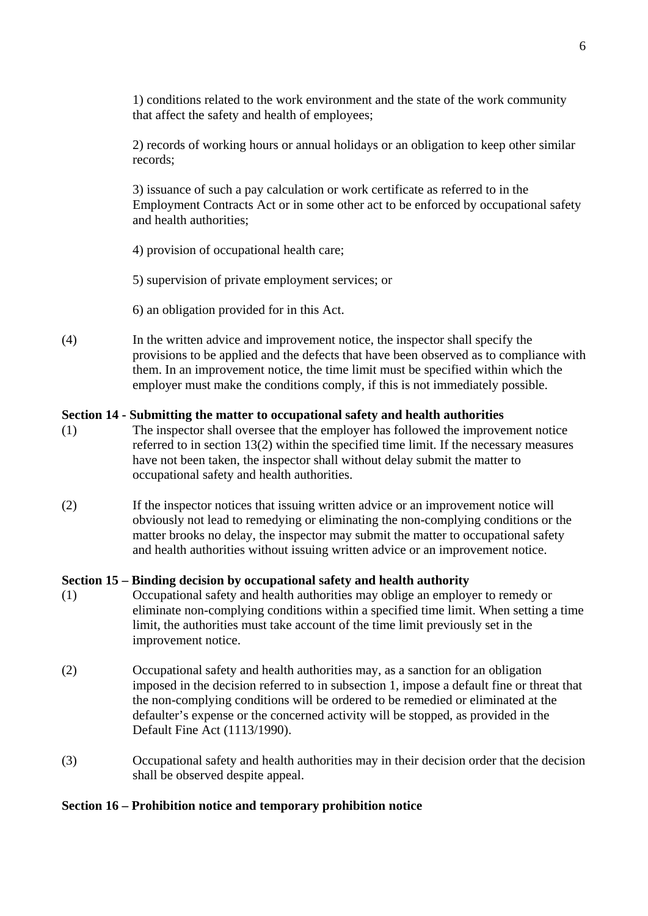1) conditions related to the work environment and the state of the work community that affect the safety and health of employees;

2) records of working hours or annual holidays or an obligation to keep other similar records;

3) issuance of such a pay calculation or work certificate as referred to in the Employment Contracts Act or in some other act to be enforced by occupational safety and health authorities;

- 4) provision of occupational health care;
- 5) supervision of private employment services; or
- 6) an obligation provided for in this Act.
- (4) In the written advice and improvement notice, the inspector shall specify the provisions to be applied and the defects that have been observed as to compliance with them. In an improvement notice, the time limit must be specified within which the employer must make the conditions comply, if this is not immediately possible.

### **Section 14 - Submitting the matter to occupational safety and health authorities**

- (1) The inspector shall oversee that the employer has followed the improvement notice referred to in section 13(2) within the specified time limit. If the necessary measures have not been taken, the inspector shall without delay submit the matter to occupational safety and health authorities.
- (2) If the inspector notices that issuing written advice or an improvement notice will obviously not lead to remedying or eliminating the non-complying conditions or the matter brooks no delay, the inspector may submit the matter to occupational safety and health authorities without issuing written advice or an improvement notice.

#### **Section 15 – Binding decision by occupational safety and health authority**

- (1) Occupational safety and health authorities may oblige an employer to remedy or eliminate non-complying conditions within a specified time limit. When setting a time limit, the authorities must take account of the time limit previously set in the improvement notice.
- (2) Occupational safety and health authorities may, as a sanction for an obligation imposed in the decision referred to in subsection 1, impose a default fine or threat that the non-complying conditions will be ordered to be remedied or eliminated at the defaulter's expense or the concerned activity will be stopped, as provided in the Default Fine Act (1113/1990).
- (3) Occupational safety and health authorities may in their decision order that the decision shall be observed despite appeal.

#### **Section 16 – Prohibition notice and temporary prohibition notice**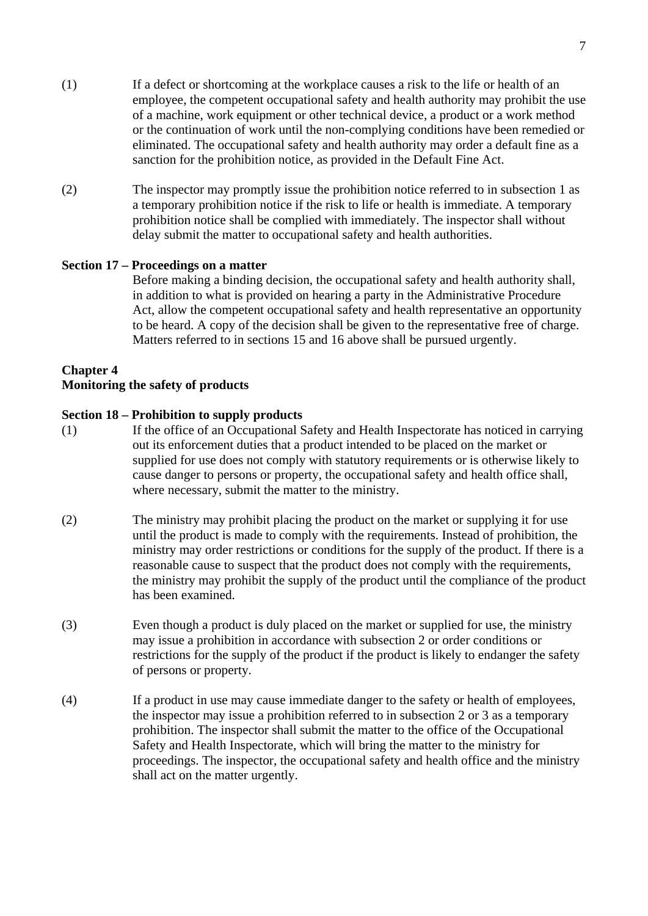- (1) If a defect or shortcoming at the workplace causes a risk to the life or health of an employee, the competent occupational safety and health authority may prohibit the use of a machine, work equipment or other technical device, a product or a work method or the continuation of work until the non-complying conditions have been remedied or eliminated. The occupational safety and health authority may order a default fine as a sanction for the prohibition notice, as provided in the Default Fine Act.
- (2) The inspector may promptly issue the prohibition notice referred to in subsection 1 as a temporary prohibition notice if the risk to life or health is immediate. A temporary prohibition notice shall be complied with immediately. The inspector shall without delay submit the matter to occupational safety and health authorities.

### **Section 17 – Proceedings on a matter**

Before making a binding decision, the occupational safety and health authority shall, in addition to what is provided on hearing a party in the Administrative Procedure Act, allow the competent occupational safety and health representative an opportunity to be heard. A copy of the decision shall be given to the representative free of charge. Matters referred to in sections 15 and 16 above shall be pursued urgently.

### **Chapter 4**

#### **Monitoring the safety of products**

#### **Section 18 – Prohibition to supply products**

- (1) If the office of an Occupational Safety and Health Inspectorate has noticed in carrying out its enforcement duties that a product intended to be placed on the market or supplied for use does not comply with statutory requirements or is otherwise likely to cause danger to persons or property, the occupational safety and health office shall, where necessary, submit the matter to the ministry.
- (2) The ministry may prohibit placing the product on the market or supplying it for use until the product is made to comply with the requirements. Instead of prohibition, the ministry may order restrictions or conditions for the supply of the product. If there is a reasonable cause to suspect that the product does not comply with the requirements, the ministry may prohibit the supply of the product until the compliance of the product has been examined.
- (3) Even though a product is duly placed on the market or supplied for use, the ministry may issue a prohibition in accordance with subsection 2 or order conditions or restrictions for the supply of the product if the product is likely to endanger the safety of persons or property.
- (4) If a product in use may cause immediate danger to the safety or health of employees, the inspector may issue a prohibition referred to in subsection 2 or 3 as a temporary prohibition. The inspector shall submit the matter to the office of the Occupational Safety and Health Inspectorate, which will bring the matter to the ministry for proceedings. The inspector, the occupational safety and health office and the ministry shall act on the matter urgently.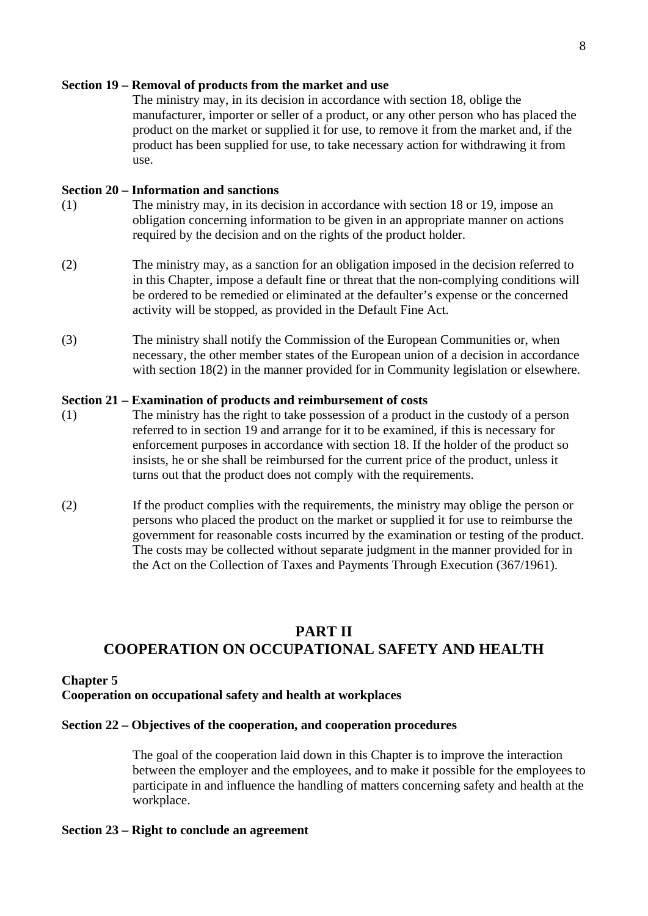#### **Section 19 – Removal of products from the market and use**

The ministry may, in its decision in accordance with section 18, oblige the manufacturer, importer or seller of a product, or any other person who has placed the product on the market or supplied it for use, to remove it from the market and, if the product has been supplied for use, to take necessary action for withdrawing it from use.

#### **Section 20 – Information and sanctions**

- (1) The ministry may, in its decision in accordance with section 18 or 19, impose an obligation concerning information to be given in an appropriate manner on actions required by the decision and on the rights of the product holder.
- (2) The ministry may, as a sanction for an obligation imposed in the decision referred to in this Chapter, impose a default fine or threat that the non-complying conditions will be ordered to be remedied or eliminated at the defaulter's expense or the concerned activity will be stopped, as provided in the Default Fine Act.
- (3) The ministry shall notify the Commission of the European Communities or, when necessary, the other member states of the European union of a decision in accordance with section 18(2) in the manner provided for in Community legislation or elsewhere.

#### **Section 21 – Examination of products and reimbursement of costs**

- (1) The ministry has the right to take possession of a product in the custody of a person referred to in section 19 and arrange for it to be examined, if this is necessary for enforcement purposes in accordance with section 18. If the holder of the product so insists, he or she shall be reimbursed for the current price of the product, unless it turns out that the product does not comply with the requirements.
- (2) If the product complies with the requirements, the ministry may oblige the person or persons who placed the product on the market or supplied it for use to reimburse the government for reasonable costs incurred by the examination or testing of the product. The costs may be collected without separate judgment in the manner provided for in the Act on the Collection of Taxes and Payments Through Execution (367/1961).

# **PART II COOPERATION ON OCCUPATIONAL SAFETY AND HEALTH**

#### **Chapter 5**

### **Cooperation on occupational safety and health at workplaces**

#### **Section 22 – Objectives of the cooperation, and cooperation procedures**

The goal of the cooperation laid down in this Chapter is to improve the interaction between the employer and the employees, and to make it possible for the employees to participate in and influence the handling of matters concerning safety and health at the workplace.

#### **Section 23 – Right to conclude an agreement**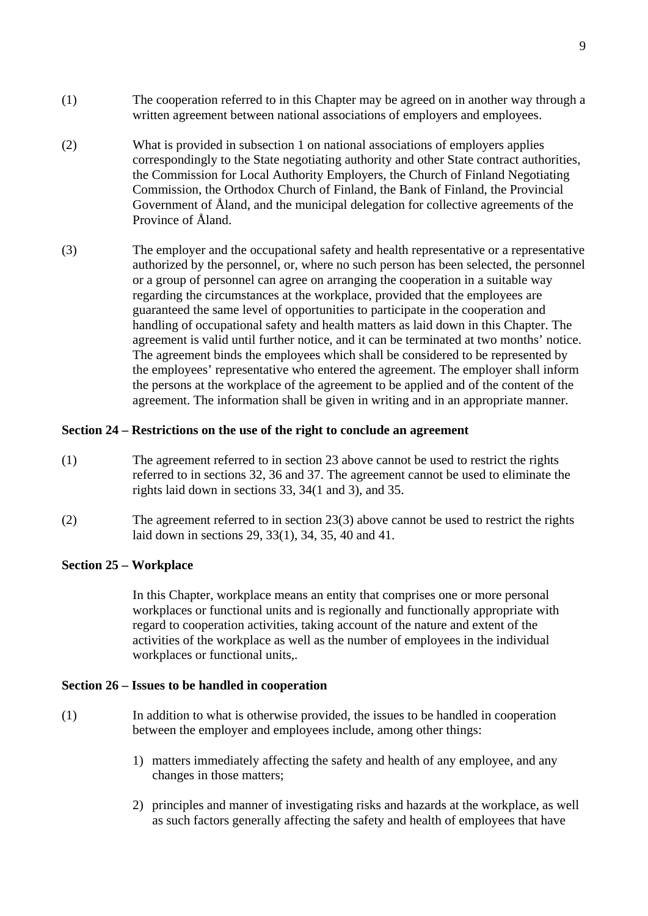- (1) The cooperation referred to in this Chapter may be agreed on in another way through a written agreement between national associations of employers and employees.
- (2) What is provided in subsection 1 on national associations of employers applies correspondingly to the State negotiating authority and other State contract authorities, the Commission for Local Authority Employers, the Church of Finland Negotiating Commission, the Orthodox Church of Finland, the Bank of Finland, the Provincial Government of Åland, and the municipal delegation for collective agreements of the Province of Åland.
- (3) The employer and the occupational safety and health representative or a representative authorized by the personnel, or, where no such person has been selected, the personnel or a group of personnel can agree on arranging the cooperation in a suitable way regarding the circumstances at the workplace, provided that the employees are guaranteed the same level of opportunities to participate in the cooperation and handling of occupational safety and health matters as laid down in this Chapter. The agreement is valid until further notice, and it can be terminated at two months' notice. The agreement binds the employees which shall be considered to be represented by the employees' representative who entered the agreement. The employer shall inform the persons at the workplace of the agreement to be applied and of the content of the agreement. The information shall be given in writing and in an appropriate manner.

### **Section 24 – Restrictions on the use of the right to conclude an agreement**

- (1) The agreement referred to in section 23 above cannot be used to restrict the rights referred to in sections 32, 36 and 37. The agreement cannot be used to eliminate the rights laid down in sections 33, 34(1 and 3), and 35.
- (2) The agreement referred to in section 23(3) above cannot be used to restrict the rights laid down in sections 29, 33(1), 34, 35, 40 and 41.

### **Section 25 – Workplace**

In this Chapter, workplace means an entity that comprises one or more personal workplaces or functional units and is regionally and functionally appropriate with regard to cooperation activities, taking account of the nature and extent of the activities of the workplace as well as the number of employees in the individual workplaces or functional units,.

### **Section 26 – Issues to be handled in cooperation**

- (1) In addition to what is otherwise provided, the issues to be handled in cooperation between the employer and employees include, among other things:
	- 1) matters immediately affecting the safety and health of any employee, and any changes in those matters;
	- 2) principles and manner of investigating risks and hazards at the workplace, as well as such factors generally affecting the safety and health of employees that have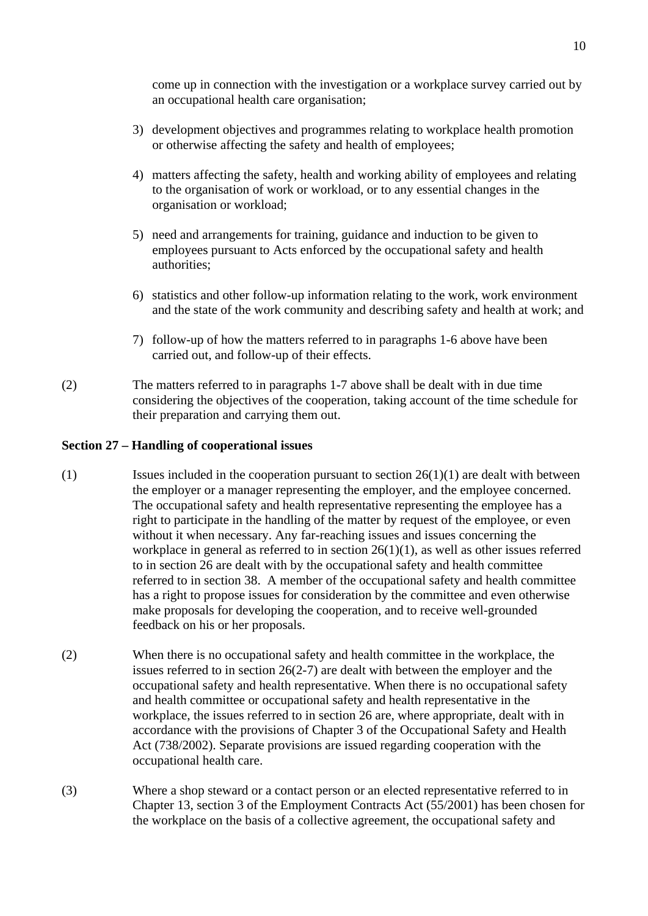come up in connection with the investigation or a workplace survey carried out by an occupational health care organisation;

- 3) development objectives and programmes relating to workplace health promotion or otherwise affecting the safety and health of employees;
- 4) matters affecting the safety, health and working ability of employees and relating to the organisation of work or workload, or to any essential changes in the organisation or workload;
- 5) need and arrangements for training, guidance and induction to be given to employees pursuant to Acts enforced by the occupational safety and health authorities;
- 6) statistics and other follow-up information relating to the work, work environment and the state of the work community and describing safety and health at work; and
- 7) follow-up of how the matters referred to in paragraphs 1-6 above have been carried out, and follow-up of their effects.
- (2) The matters referred to in paragraphs 1-7 above shall be dealt with in due time considering the objectives of the cooperation, taking account of the time schedule for their preparation and carrying them out.

## **Section 27 – Handling of cooperational issues**

- (1) Issues included in the cooperation pursuant to section  $26(1)(1)$  are dealt with between the employer or a manager representing the employer, and the employee concerned. The occupational safety and health representative representing the employee has a right to participate in the handling of the matter by request of the employee, or even without it when necessary. Any far-reaching issues and issues concerning the workplace in general as referred to in section  $26(1)(1)$ , as well as other issues referred to in section 26 are dealt with by the occupational safety and health committee referred to in section 38. A member of the occupational safety and health committee has a right to propose issues for consideration by the committee and even otherwise make proposals for developing the cooperation, and to receive well-grounded feedback on his or her proposals.
- (2) When there is no occupational safety and health committee in the workplace, the issues referred to in section 26(2-7) are dealt with between the employer and the occupational safety and health representative. When there is no occupational safety and health committee or occupational safety and health representative in the workplace, the issues referred to in section 26 are, where appropriate, dealt with in accordance with the provisions of Chapter 3 of the Occupational Safety and Health Act (738/2002). Separate provisions are issued regarding cooperation with the occupational health care.
- (3) Where a shop steward or a contact person or an elected representative referred to in Chapter 13, section 3 of the Employment Contracts Act (55/2001) has been chosen for the workplace on the basis of a collective agreement, the occupational safety and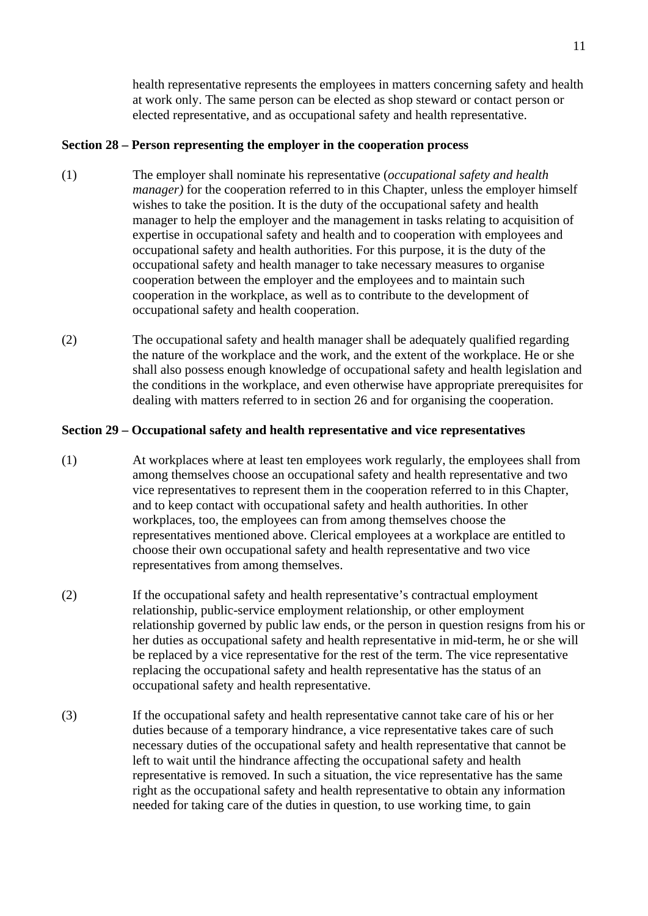health representative represents the employees in matters concerning safety and health at work only. The same person can be elected as shop steward or contact person or elected representative, and as occupational safety and health representative.

### **Section 28 – Person representing the employer in the cooperation process**

- (1) The employer shall nominate his representative (*occupational safety and health manager*) for the cooperation referred to in this Chapter, unless the employer himself wishes to take the position. It is the duty of the occupational safety and health manager to help the employer and the management in tasks relating to acquisition of expertise in occupational safety and health and to cooperation with employees and occupational safety and health authorities. For this purpose, it is the duty of the occupational safety and health manager to take necessary measures to organise cooperation between the employer and the employees and to maintain such cooperation in the workplace, as well as to contribute to the development of occupational safety and health cooperation.
- (2) The occupational safety and health manager shall be adequately qualified regarding the nature of the workplace and the work, and the extent of the workplace. He or she shall also possess enough knowledge of occupational safety and health legislation and the conditions in the workplace, and even otherwise have appropriate prerequisites for dealing with matters referred to in section 26 and for organising the cooperation.

## **Section 29 – Occupational safety and health representative and vice representatives**

- (1) At workplaces where at least ten employees work regularly, the employees shall from among themselves choose an occupational safety and health representative and two vice representatives to represent them in the cooperation referred to in this Chapter, and to keep contact with occupational safety and health authorities. In other workplaces, too, the employees can from among themselves choose the representatives mentioned above. Clerical employees at a workplace are entitled to choose their own occupational safety and health representative and two vice representatives from among themselves.
- (2) If the occupational safety and health representative's contractual employment relationship, public-service employment relationship, or other employment relationship governed by public law ends, or the person in question resigns from his or her duties as occupational safety and health representative in mid-term, he or she will be replaced by a vice representative for the rest of the term. The vice representative replacing the occupational safety and health representative has the status of an occupational safety and health representative.
- (3) If the occupational safety and health representative cannot take care of his or her duties because of a temporary hindrance, a vice representative takes care of such necessary duties of the occupational safety and health representative that cannot be left to wait until the hindrance affecting the occupational safety and health representative is removed. In such a situation, the vice representative has the same right as the occupational safety and health representative to obtain any information needed for taking care of the duties in question, to use working time, to gain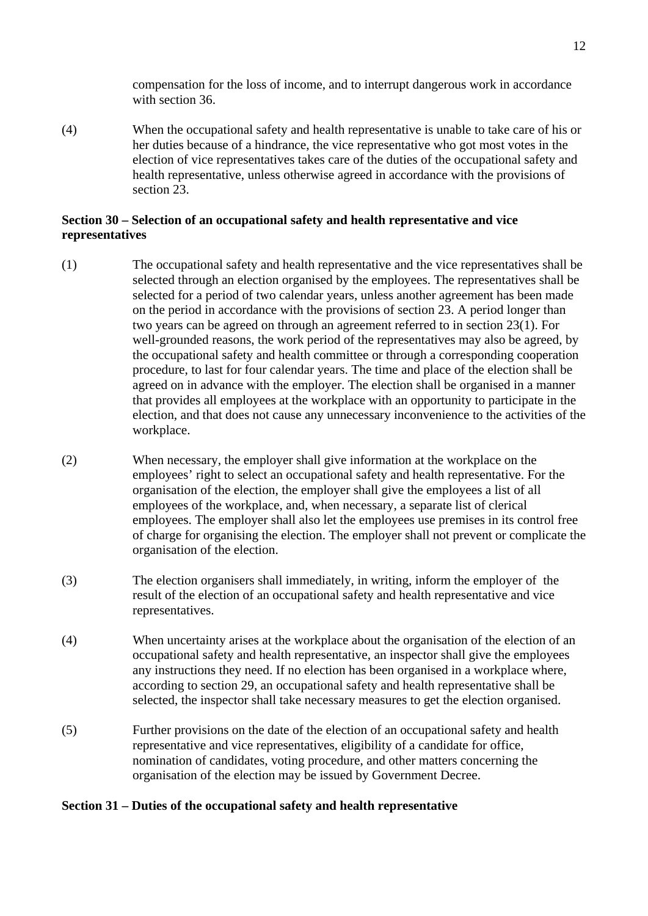compensation for the loss of income, and to interrupt dangerous work in accordance with section 36.

(4) When the occupational safety and health representative is unable to take care of his or her duties because of a hindrance, the vice representative who got most votes in the election of vice representatives takes care of the duties of the occupational safety and health representative, unless otherwise agreed in accordance with the provisions of section 23.

## **Section 30 – Selection of an occupational safety and health representative and vice representatives**

- (1) The occupational safety and health representative and the vice representatives shall be selected through an election organised by the employees. The representatives shall be selected for a period of two calendar years, unless another agreement has been made on the period in accordance with the provisions of section 23. A period longer than two years can be agreed on through an agreement referred to in section 23(1). For well-grounded reasons, the work period of the representatives may also be agreed, by the occupational safety and health committee or through a corresponding cooperation procedure, to last for four calendar years. The time and place of the election shall be agreed on in advance with the employer. The election shall be organised in a manner that provides all employees at the workplace with an opportunity to participate in the election, and that does not cause any unnecessary inconvenience to the activities of the workplace.
- (2) When necessary, the employer shall give information at the workplace on the employees' right to select an occupational safety and health representative. For the organisation of the election, the employer shall give the employees a list of all employees of the workplace, and, when necessary, a separate list of clerical employees. The employer shall also let the employees use premises in its control free of charge for organising the election. The employer shall not prevent or complicate the organisation of the election.
- (3) The election organisers shall immediately, in writing, inform the employer of the result of the election of an occupational safety and health representative and vice representatives.
- (4) When uncertainty arises at the workplace about the organisation of the election of an occupational safety and health representative, an inspector shall give the employees any instructions they need. If no election has been organised in a workplace where, according to section 29, an occupational safety and health representative shall be selected, the inspector shall take necessary measures to get the election organised.
- (5) Further provisions on the date of the election of an occupational safety and health representative and vice representatives, eligibility of a candidate for office, nomination of candidates, voting procedure, and other matters concerning the organisation of the election may be issued by Government Decree.

### **Section 31 – Duties of the occupational safety and health representative**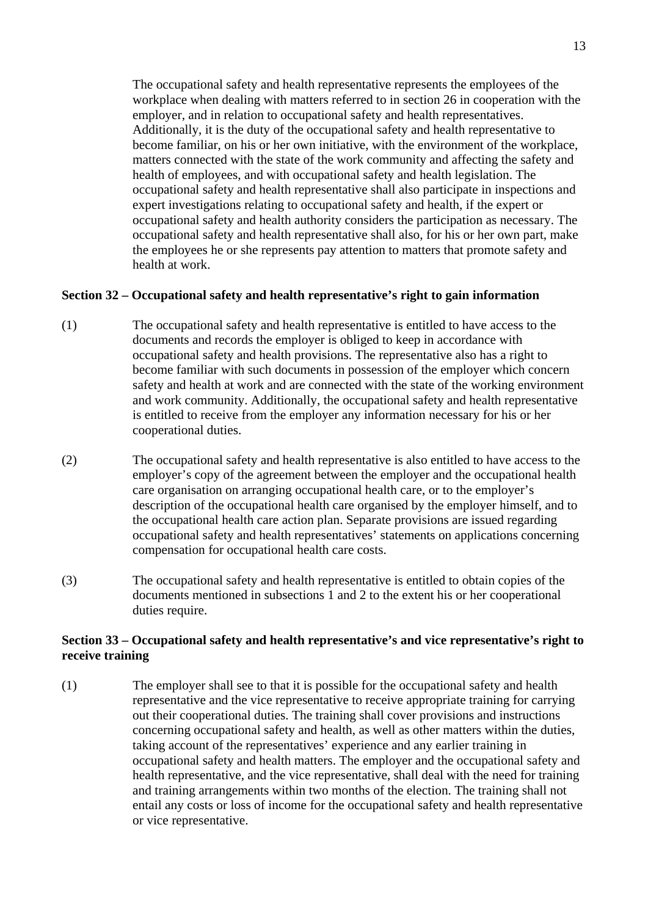The occupational safety and health representative represents the employees of the workplace when dealing with matters referred to in section 26 in cooperation with the employer, and in relation to occupational safety and health representatives. Additionally, it is the duty of the occupational safety and health representative to become familiar, on his or her own initiative, with the environment of the workplace, matters connected with the state of the work community and affecting the safety and health of employees, and with occupational safety and health legislation. The occupational safety and health representative shall also participate in inspections and expert investigations relating to occupational safety and health, if the expert or occupational safety and health authority considers the participation as necessary. The occupational safety and health representative shall also, for his or her own part, make the employees he or she represents pay attention to matters that promote safety and health at work.

### **Section 32 – Occupational safety and health representative's right to gain information**

- (1) The occupational safety and health representative is entitled to have access to the documents and records the employer is obliged to keep in accordance with occupational safety and health provisions. The representative also has a right to become familiar with such documents in possession of the employer which concern safety and health at work and are connected with the state of the working environment and work community. Additionally, the occupational safety and health representative is entitled to receive from the employer any information necessary for his or her cooperational duties.
- (2) The occupational safety and health representative is also entitled to have access to the employer's copy of the agreement between the employer and the occupational health care organisation on arranging occupational health care, or to the employer's description of the occupational health care organised by the employer himself, and to the occupational health care action plan. Separate provisions are issued regarding occupational safety and health representatives' statements on applications concerning compensation for occupational health care costs.
- (3) The occupational safety and health representative is entitled to obtain copies of the documents mentioned in subsections 1 and 2 to the extent his or her cooperational duties require.

## **Section 33 – Occupational safety and health representative's and vice representative's right to receive training**

(1) The employer shall see to that it is possible for the occupational safety and health representative and the vice representative to receive appropriate training for carrying out their cooperational duties. The training shall cover provisions and instructions concerning occupational safety and health, as well as other matters within the duties, taking account of the representatives' experience and any earlier training in occupational safety and health matters. The employer and the occupational safety and health representative, and the vice representative, shall deal with the need for training and training arrangements within two months of the election. The training shall not entail any costs or loss of income for the occupational safety and health representative or vice representative.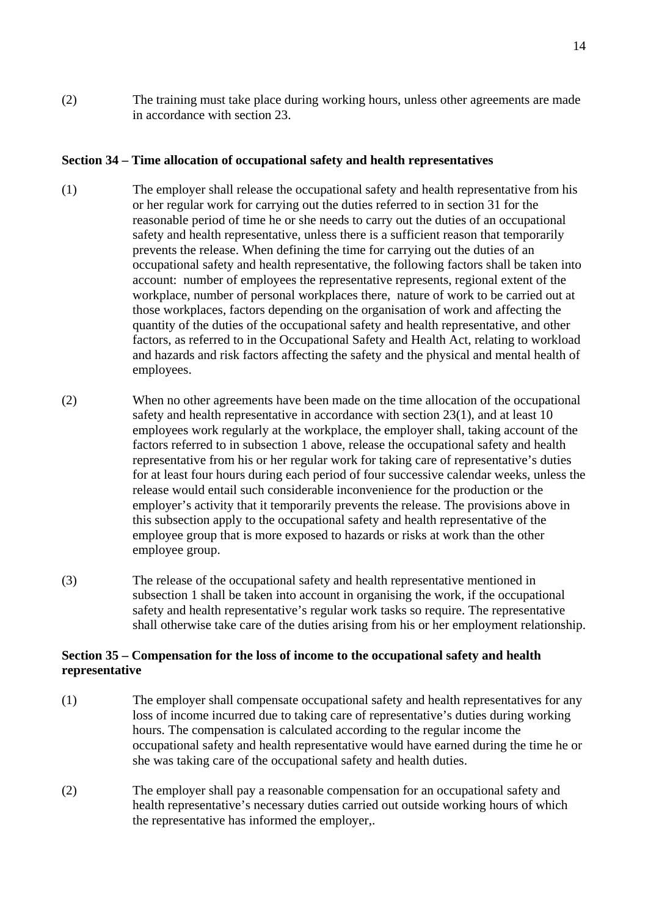(2) The training must take place during working hours, unless other agreements are made in accordance with section 23.

## **Section 34 – Time allocation of occupational safety and health representatives**

- (1) The employer shall release the occupational safety and health representative from his or her regular work for carrying out the duties referred to in section 31 for the reasonable period of time he or she needs to carry out the duties of an occupational safety and health representative, unless there is a sufficient reason that temporarily prevents the release. When defining the time for carrying out the duties of an occupational safety and health representative, the following factors shall be taken into account: number of employees the representative represents, regional extent of the workplace, number of personal workplaces there, nature of work to be carried out at those workplaces, factors depending on the organisation of work and affecting the quantity of the duties of the occupational safety and health representative, and other factors, as referred to in the Occupational Safety and Health Act, relating to workload and hazards and risk factors affecting the safety and the physical and mental health of employees.
- (2) When no other agreements have been made on the time allocation of the occupational safety and health representative in accordance with section 23(1), and at least 10 employees work regularly at the workplace, the employer shall, taking account of the factors referred to in subsection 1 above, release the occupational safety and health representative from his or her regular work for taking care of representative's duties for at least four hours during each period of four successive calendar weeks, unless the release would entail such considerable inconvenience for the production or the employer's activity that it temporarily prevents the release. The provisions above in this subsection apply to the occupational safety and health representative of the employee group that is more exposed to hazards or risks at work than the other employee group.
- (3) The release of the occupational safety and health representative mentioned in subsection 1 shall be taken into account in organising the work, if the occupational safety and health representative's regular work tasks so require. The representative shall otherwise take care of the duties arising from his or her employment relationship.

### **Section 35 – Compensation for the loss of income to the occupational safety and health representative**

- (1) The employer shall compensate occupational safety and health representatives for any loss of income incurred due to taking care of representative's duties during working hours. The compensation is calculated according to the regular income the occupational safety and health representative would have earned during the time he or she was taking care of the occupational safety and health duties.
- (2) The employer shall pay a reasonable compensation for an occupational safety and health representative's necessary duties carried out outside working hours of which the representative has informed the employer,.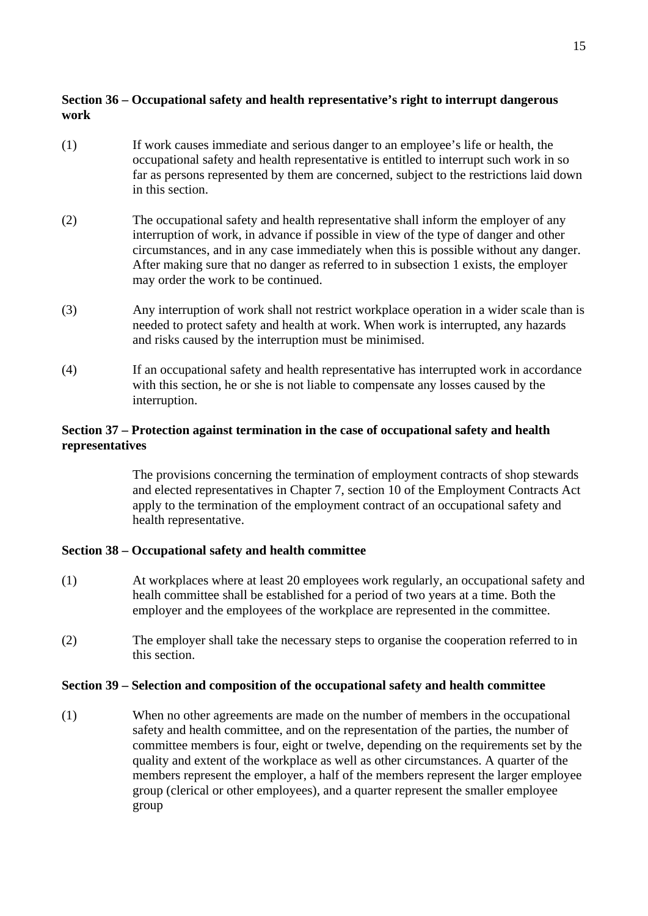## **Section 36 – Occupational safety and health representative's right to interrupt dangerous work**

- (1) If work causes immediate and serious danger to an employee's life or health, the occupational safety and health representative is entitled to interrupt such work in so far as persons represented by them are concerned, subject to the restrictions laid down in this section.
- (2) The occupational safety and health representative shall inform the employer of any interruption of work, in advance if possible in view of the type of danger and other circumstances, and in any case immediately when this is possible without any danger. After making sure that no danger as referred to in subsection 1 exists, the employer may order the work to be continued.
- (3) Any interruption of work shall not restrict workplace operation in a wider scale than is needed to protect safety and health at work. When work is interrupted, any hazards and risks caused by the interruption must be minimised.
- (4) If an occupational safety and health representative has interrupted work in accordance with this section, he or she is not liable to compensate any losses caused by the interruption.

## **Section 37 – Protection against termination in the case of occupational safety and health representatives**

The provisions concerning the termination of employment contracts of shop stewards and elected representatives in Chapter 7, section 10 of the Employment Contracts Act apply to the termination of the employment contract of an occupational safety and health representative.

## **Section 38 – Occupational safety and health committee**

- (1) At workplaces where at least 20 employees work regularly, an occupational safety and healh committee shall be established for a period of two years at a time. Both the employer and the employees of the workplace are represented in the committee.
- (2) The employer shall take the necessary steps to organise the cooperation referred to in this section.

### **Section 39 – Selection and composition of the occupational safety and health committee**

(1) When no other agreements are made on the number of members in the occupational safety and health committee, and on the representation of the parties, the number of committee members is four, eight or twelve, depending on the requirements set by the quality and extent of the workplace as well as other circumstances. A quarter of the members represent the employer, a half of the members represent the larger employee group (clerical or other employees), and a quarter represent the smaller employee group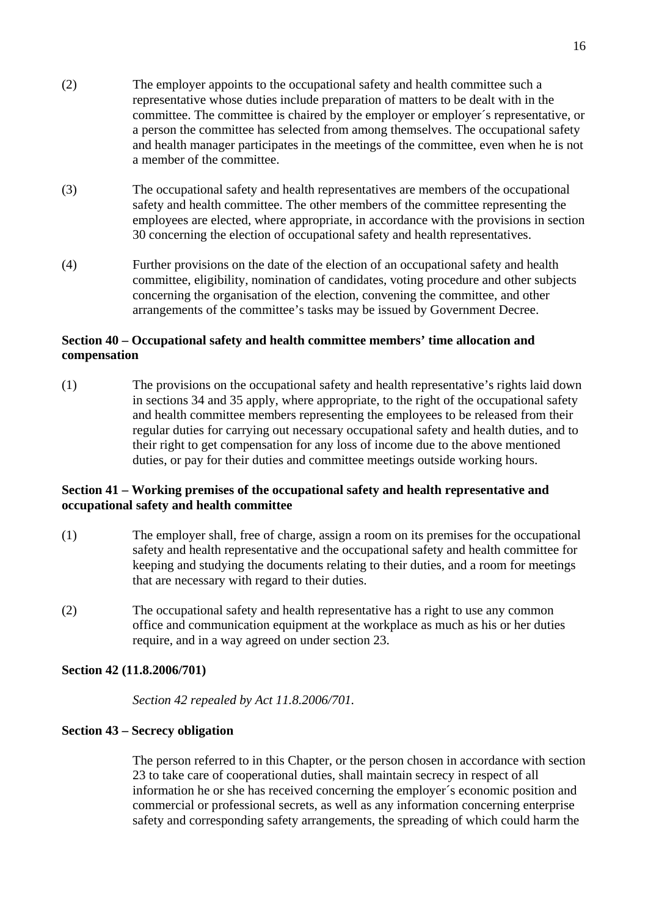- (2) The employer appoints to the occupational safety and health committee such a representative whose duties include preparation of matters to be dealt with in the committee. The committee is chaired by the employer or employer´s representative, or a person the committee has selected from among themselves. The occupational safety and health manager participates in the meetings of the committee, even when he is not a member of the committee.
- (3) The occupational safety and health representatives are members of the occupational safety and health committee. The other members of the committee representing the employees are elected, where appropriate, in accordance with the provisions in section 30 concerning the election of occupational safety and health representatives.
- (4) Further provisions on the date of the election of an occupational safety and health committee, eligibility, nomination of candidates, voting procedure and other subjects concerning the organisation of the election, convening the committee, and other arrangements of the committee's tasks may be issued by Government Decree.

## **Section 40 – Occupational safety and health committee members' time allocation and compensation**

(1) The provisions on the occupational safety and health representative's rights laid down in sections 34 and 35 apply, where appropriate, to the right of the occupational safety and health committee members representing the employees to be released from their regular duties for carrying out necessary occupational safety and health duties, and to their right to get compensation for any loss of income due to the above mentioned duties, or pay for their duties and committee meetings outside working hours.

## **Section 41 – Working premises of the occupational safety and health representative and occupational safety and health committee**

- (1) The employer shall, free of charge, assign a room on its premises for the occupational safety and health representative and the occupational safety and health committee for keeping and studying the documents relating to their duties, and a room for meetings that are necessary with regard to their duties.
- (2) The occupational safety and health representative has a right to use any common office and communication equipment at the workplace as much as his or her duties require, and in a way agreed on under section 23.

### **Section 42 (11.8.2006/701)**

*Section 42 repealed by Act 11.8.2006/701.* 

## **Section 43 – Secrecy obligation**

The person referred to in this Chapter, or the person chosen in accordance with section 23 to take care of cooperational duties, shall maintain secrecy in respect of all information he or she has received concerning the employer´s economic position and commercial or professional secrets, as well as any information concerning enterprise safety and corresponding safety arrangements, the spreading of which could harm the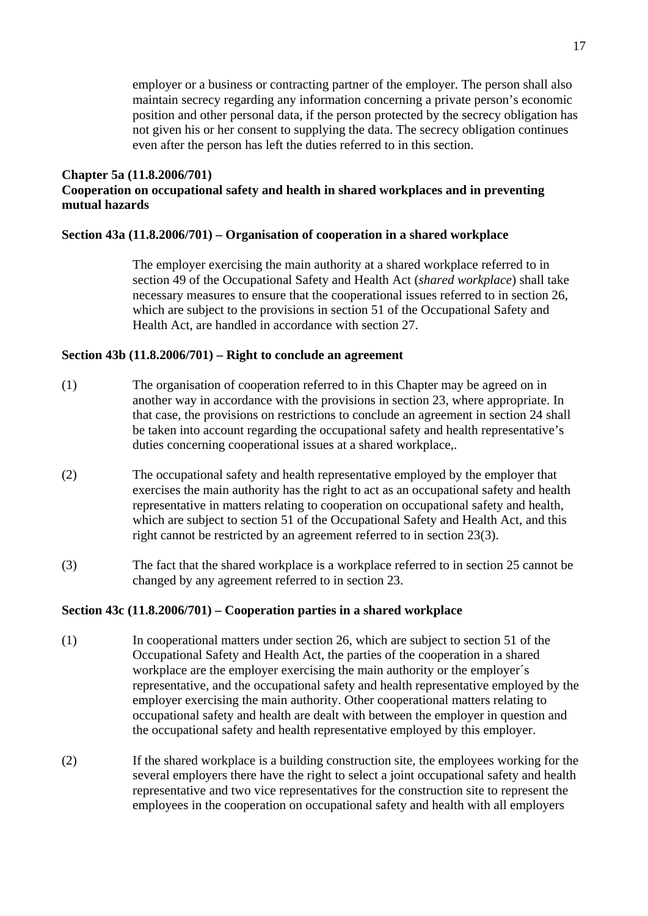employer or a business or contracting partner of the employer. The person shall also maintain secrecy regarding any information concerning a private person's economic position and other personal data, if the person protected by the secrecy obligation has not given his or her consent to supplying the data. The secrecy obligation continues even after the person has left the duties referred to in this section.

### **Chapter 5a (11.8.2006/701) Cooperation on occupational safety and health in shared workplaces and in preventing mutual hazards**

### **Section 43a (11.8.2006/701) – Organisation of cooperation in a shared workplace**

The employer exercising the main authority at a shared workplace referred to in section 49 of the Occupational Safety and Health Act (*shared workplace*) shall take necessary measures to ensure that the cooperational issues referred to in section 26, which are subject to the provisions in section 51 of the Occupational Safety and Health Act, are handled in accordance with section 27.

## **Section 43b (11.8.2006/701) – Right to conclude an agreement**

- (1) The organisation of cooperation referred to in this Chapter may be agreed on in another way in accordance with the provisions in section 23, where appropriate. In that case, the provisions on restrictions to conclude an agreement in section 24 shall be taken into account regarding the occupational safety and health representative's duties concerning cooperational issues at a shared workplace,.
- (2) The occupational safety and health representative employed by the employer that exercises the main authority has the right to act as an occupational safety and health representative in matters relating to cooperation on occupational safety and health, which are subject to section 51 of the Occupational Safety and Health Act, and this right cannot be restricted by an agreement referred to in section 23(3).
- (3) The fact that the shared workplace is a workplace referred to in section 25 cannot be changed by any agreement referred to in section 23.

## **Section 43c (11.8.2006/701) – Cooperation parties in a shared workplace**

- (1) In cooperational matters under section 26, which are subject to section 51 of the Occupational Safety and Health Act, the parties of the cooperation in a shared workplace are the employer exercising the main authority or the employer´s representative, and the occupational safety and health representative employed by the employer exercising the main authority. Other cooperational matters relating to occupational safety and health are dealt with between the employer in question and the occupational safety and health representative employed by this employer.
- (2) If the shared workplace is a building construction site, the employees working for the several employers there have the right to select a joint occupational safety and health representative and two vice representatives for the construction site to represent the employees in the cooperation on occupational safety and health with all employers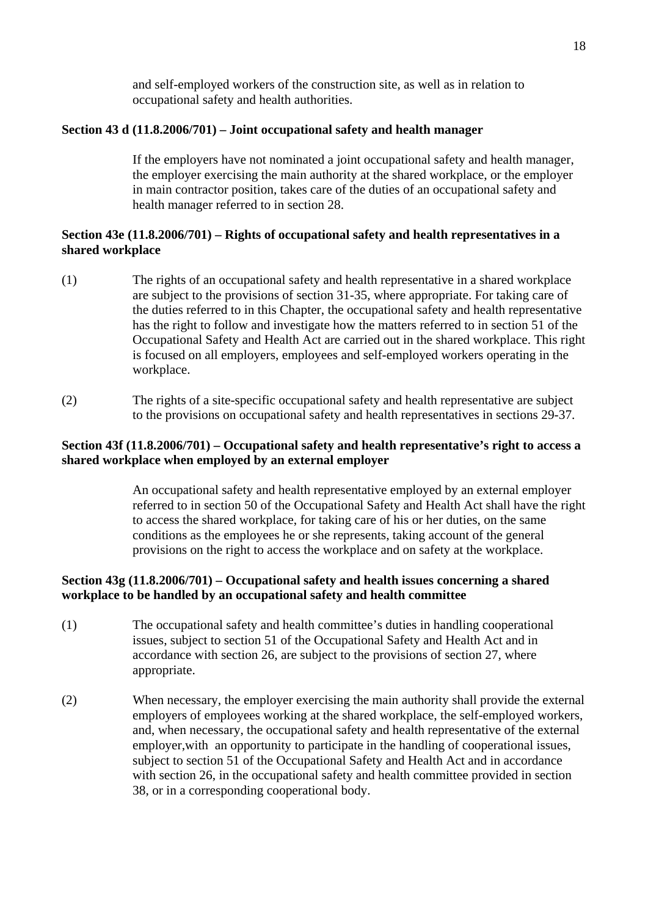and self-employed workers of the construction site, as well as in relation to occupational safety and health authorities.

## **Section 43 d (11.8.2006/701) – Joint occupational safety and health manager**

If the employers have not nominated a joint occupational safety and health manager, the employer exercising the main authority at the shared workplace, or the employer in main contractor position, takes care of the duties of an occupational safety and health manager referred to in section 28.

## **Section 43e (11.8.2006/701) – Rights of occupational safety and health representatives in a shared workplace**

- (1) The rights of an occupational safety and health representative in a shared workplace are subject to the provisions of section 31-35, where appropriate. For taking care of the duties referred to in this Chapter, the occupational safety and health representative has the right to follow and investigate how the matters referred to in section 51 of the Occupational Safety and Health Act are carried out in the shared workplace. This right is focused on all employers, employees and self-employed workers operating in the workplace.
- (2) The rights of a site-specific occupational safety and health representative are subject to the provisions on occupational safety and health representatives in sections 29-37.

## **Section 43f (11.8.2006/701) – Occupational safety and health representative's right to access a shared workplace when employed by an external employer**

An occupational safety and health representative employed by an external employer referred to in section 50 of the Occupational Safety and Health Act shall have the right to access the shared workplace, for taking care of his or her duties, on the same conditions as the employees he or she represents, taking account of the general provisions on the right to access the workplace and on safety at the workplace.

## **Section 43g (11.8.2006/701) – Occupational safety and health issues concerning a shared workplace to be handled by an occupational safety and health committee**

- (1) The occupational safety and health committee's duties in handling cooperational issues, subject to section 51 of the Occupational Safety and Health Act and in accordance with section 26, are subject to the provisions of section 27, where appropriate.
- (2) When necessary, the employer exercising the main authority shall provide the external employers of employees working at the shared workplace, the self-employed workers, and, when necessary, the occupational safety and health representative of the external employer,with an opportunity to participate in the handling of cooperational issues, subject to section 51 of the Occupational Safety and Health Act and in accordance with section 26, in the occupational safety and health committee provided in section 38, or in a corresponding cooperational body.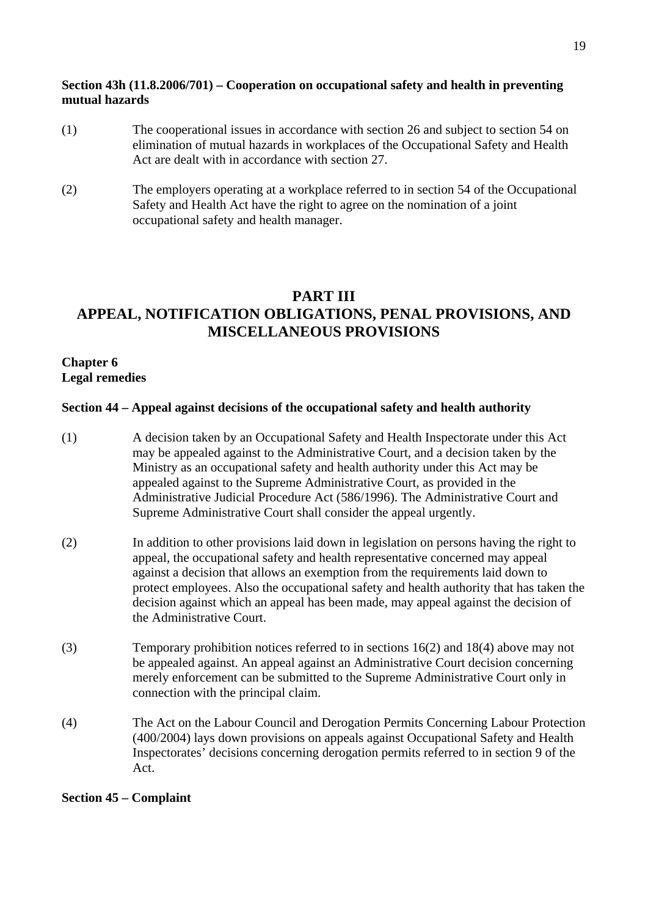## **Section 43h (11.8.2006/701) – Cooperation on occupational safety and health in preventing mutual hazards**

- (1) The cooperational issues in accordance with section 26 and subject to section 54 on elimination of mutual hazards in workplaces of the Occupational Safety and Health Act are dealt with in accordance with section 27.
- (2) The employers operating at a workplace referred to in section 54 of the Occupational Safety and Health Act have the right to agree on the nomination of a joint occupational safety and health manager.

# **PART III APPEAL, NOTIFICATION OBLIGATIONS, PENAL PROVISIONS, AND MISCELLANEOUS PROVISIONS**

### **Chapter 6 Legal remedies**

### **Section 44 – Appeal against decisions of the occupational safety and health authority**

- (1) A decision taken by an Occupational Safety and Health Inspectorate under this Act may be appealed against to the Administrative Court, and a decision taken by the Ministry as an occupational safety and health authority under this Act may be appealed against to the Supreme Administrative Court, as provided in the Administrative Judicial Procedure Act (586/1996). The Administrative Court and Supreme Administrative Court shall consider the appeal urgently.
- (2) In addition to other provisions laid down in legislation on persons having the right to appeal, the occupational safety and health representative concerned may appeal against a decision that allows an exemption from the requirements laid down to protect employees. Also the occupational safety and health authority that has taken the decision against which an appeal has been made, may appeal against the decision of the Administrative Court.
- (3) Temporary prohibition notices referred to in sections 16(2) and 18(4) above may not be appealed against. An appeal against an Administrative Court decision concerning merely enforcement can be submitted to the Supreme Administrative Court only in connection with the principal claim.
- (4) The Act on the Labour Council and Derogation Permits Concerning Labour Protection (400/2004) lays down provisions on appeals against Occupational Safety and Health Inspectorates' decisions concerning derogation permits referred to in section 9 of the Act.

### **Section 45 – Complaint**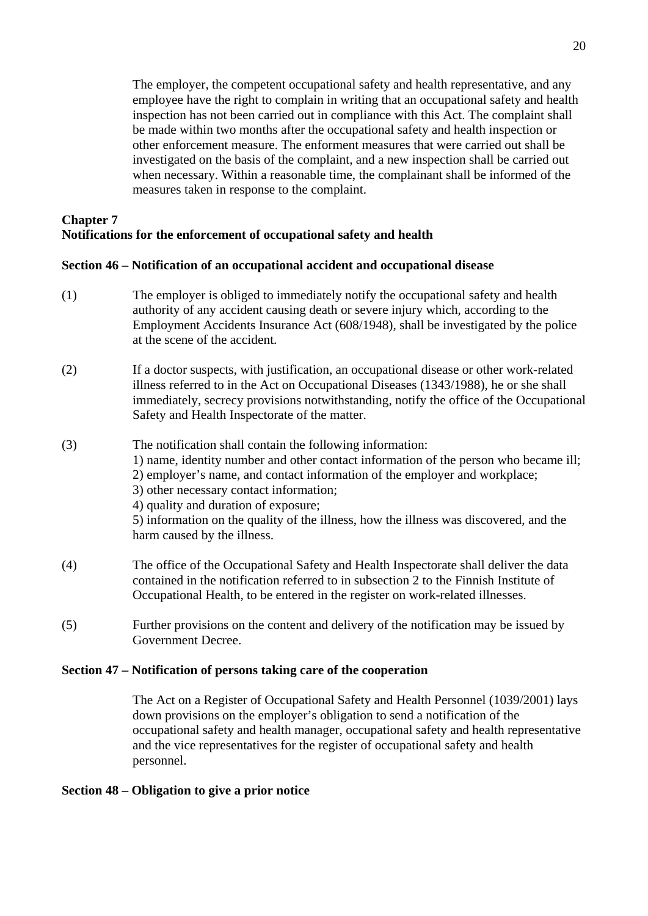The employer, the competent occupational safety and health representative, and any employee have the right to complain in writing that an occupational safety and health inspection has not been carried out in compliance with this Act. The complaint shall be made within two months after the occupational safety and health inspection or other enforcement measure. The enforment measures that were carried out shall be investigated on the basis of the complaint, and a new inspection shall be carried out when necessary. Within a reasonable time, the complainant shall be informed of the measures taken in response to the complaint.

# **Chapter 7 Notifications for the enforcement of occupational safety and health**

## **Section 46 – Notification of an occupational accident and occupational disease**

- (1) The employer is obliged to immediately notify the occupational safety and health authority of any accident causing death or severe injury which, according to the Employment Accidents Insurance Act (608/1948), shall be investigated by the police at the scene of the accident.
- (2) If a doctor suspects, with justification, an occupational disease or other work-related illness referred to in the Act on Occupational Diseases (1343/1988), he or she shall immediately, secrecy provisions notwithstanding, notify the office of the Occupational Safety and Health Inspectorate of the matter.
- (3) The notification shall contain the following information: 1) name, identity number and other contact information of the person who became ill; 2) employer's name, and contact information of the employer and workplace; 3) other necessary contact information; 4) quality and duration of exposure; 5) information on the quality of the illness, how the illness was discovered, and the harm caused by the illness.
- (4) The office of the Occupational Safety and Health Inspectorate shall deliver the data contained in the notification referred to in subsection 2 to the Finnish Institute of Occupational Health, to be entered in the register on work-related illnesses.
- (5) Further provisions on the content and delivery of the notification may be issued by Government Decree.

## **Section 47 – Notification of persons taking care of the cooperation**

The Act on a Register of Occupational Safety and Health Personnel (1039/2001) lays down provisions on the employer's obligation to send a notification of the occupational safety and health manager, occupational safety and health representative and the vice representatives for the register of occupational safety and health personnel.

## **Section 48 – Obligation to give a prior notice**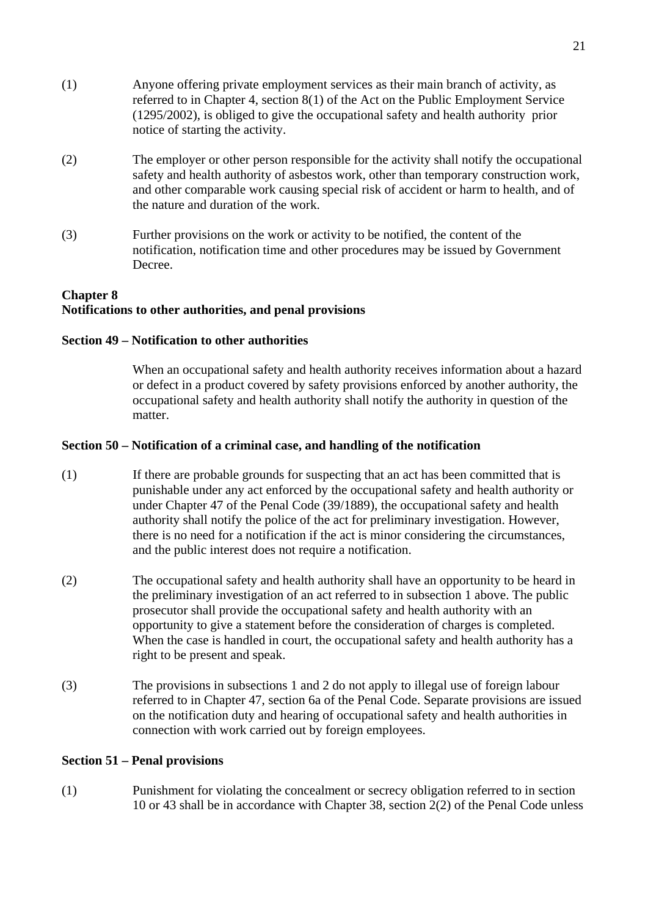- (1) Anyone offering private employment services as their main branch of activity, as referred to in Chapter 4, section 8(1) of the Act on the Public Employment Service (1295/2002), is obliged to give the occupational safety and health authority prior notice of starting the activity.
- (2) The employer or other person responsible for the activity shall notify the occupational safety and health authority of asbestos work, other than temporary construction work, and other comparable work causing special risk of accident or harm to health, and of the nature and duration of the work.
- (3) Further provisions on the work or activity to be notified, the content of the notification, notification time and other procedures may be issued by Government Decree.

## **Chapter 8 Notifications to other authorities, and penal provisions**

## **Section 49 – Notification to other authorities**

When an occupational safety and health authority receives information about a hazard or defect in a product covered by safety provisions enforced by another authority, the occupational safety and health authority shall notify the authority in question of the matter.

## **Section 50 – Notification of a criminal case, and handling of the notification**

- (1) If there are probable grounds for suspecting that an act has been committed that is punishable under any act enforced by the occupational safety and health authority or under Chapter 47 of the Penal Code (39/1889), the occupational safety and health authority shall notify the police of the act for preliminary investigation. However, there is no need for a notification if the act is minor considering the circumstances, and the public interest does not require a notification.
- (2) The occupational safety and health authority shall have an opportunity to be heard in the preliminary investigation of an act referred to in subsection 1 above. The public prosecutor shall provide the occupational safety and health authority with an opportunity to give a statement before the consideration of charges is completed. When the case is handled in court, the occupational safety and health authority has a right to be present and speak.
- (3) The provisions in subsections 1 and 2 do not apply to illegal use of foreign labour referred to in Chapter 47, section 6a of the Penal Code. Separate provisions are issued on the notification duty and hearing of occupational safety and health authorities in connection with work carried out by foreign employees.

### **Section 51 – Penal provisions**

(1) Punishment for violating the concealment or secrecy obligation referred to in section 10 or 43 shall be in accordance with Chapter 38, section 2(2) of the Penal Code unless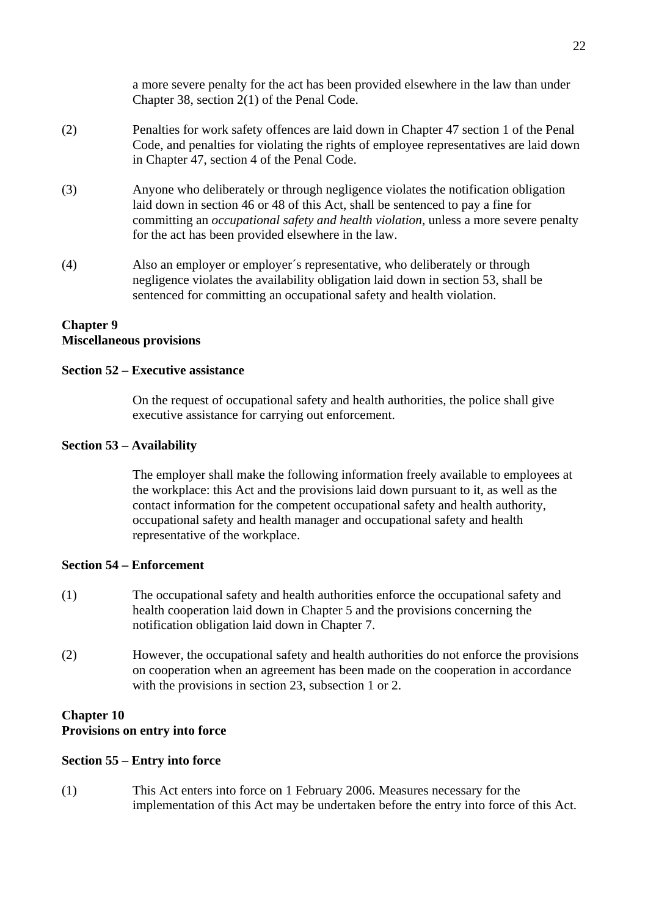a more severe penalty for the act has been provided elsewhere in the law than under Chapter 38, section 2(1) of the Penal Code.

- (2) Penalties for work safety offences are laid down in Chapter 47 section 1 of the Penal Code, and penalties for violating the rights of employee representatives are laid down in Chapter 47, section 4 of the Penal Code.
- (3) Anyone who deliberately or through negligence violates the notification obligation laid down in section 46 or 48 of this Act, shall be sentenced to pay a fine for committing an *occupational safety and health violation*, unless a more severe penalty for the act has been provided elsewhere in the law.
- (4) Also an employer or employer´s representative, who deliberately or through negligence violates the availability obligation laid down in section 53, shall be sentenced for committing an occupational safety and health violation.

### **Chapter 9 Miscellaneous provisions**

### **Section 52 – Executive assistance**

On the request of occupational safety and health authorities, the police shall give executive assistance for carrying out enforcement.

### **Section 53 – Availability**

The employer shall make the following information freely available to employees at the workplace: this Act and the provisions laid down pursuant to it, as well as the contact information for the competent occupational safety and health authority, occupational safety and health manager and occupational safety and health representative of the workplace.

#### **Section 54 – Enforcement**

- (1) The occupational safety and health authorities enforce the occupational safety and health cooperation laid down in Chapter 5 and the provisions concerning the notification obligation laid down in Chapter 7.
- (2) However, the occupational safety and health authorities do not enforce the provisions on cooperation when an agreement has been made on the cooperation in accordance with the provisions in section 23, subsection 1 or 2.

### **Chapter 10**

#### **Provisions on entry into force**

#### **Section 55 – Entry into force**

(1) This Act enters into force on 1 February 2006. Measures necessary for the implementation of this Act may be undertaken before the entry into force of this Act.